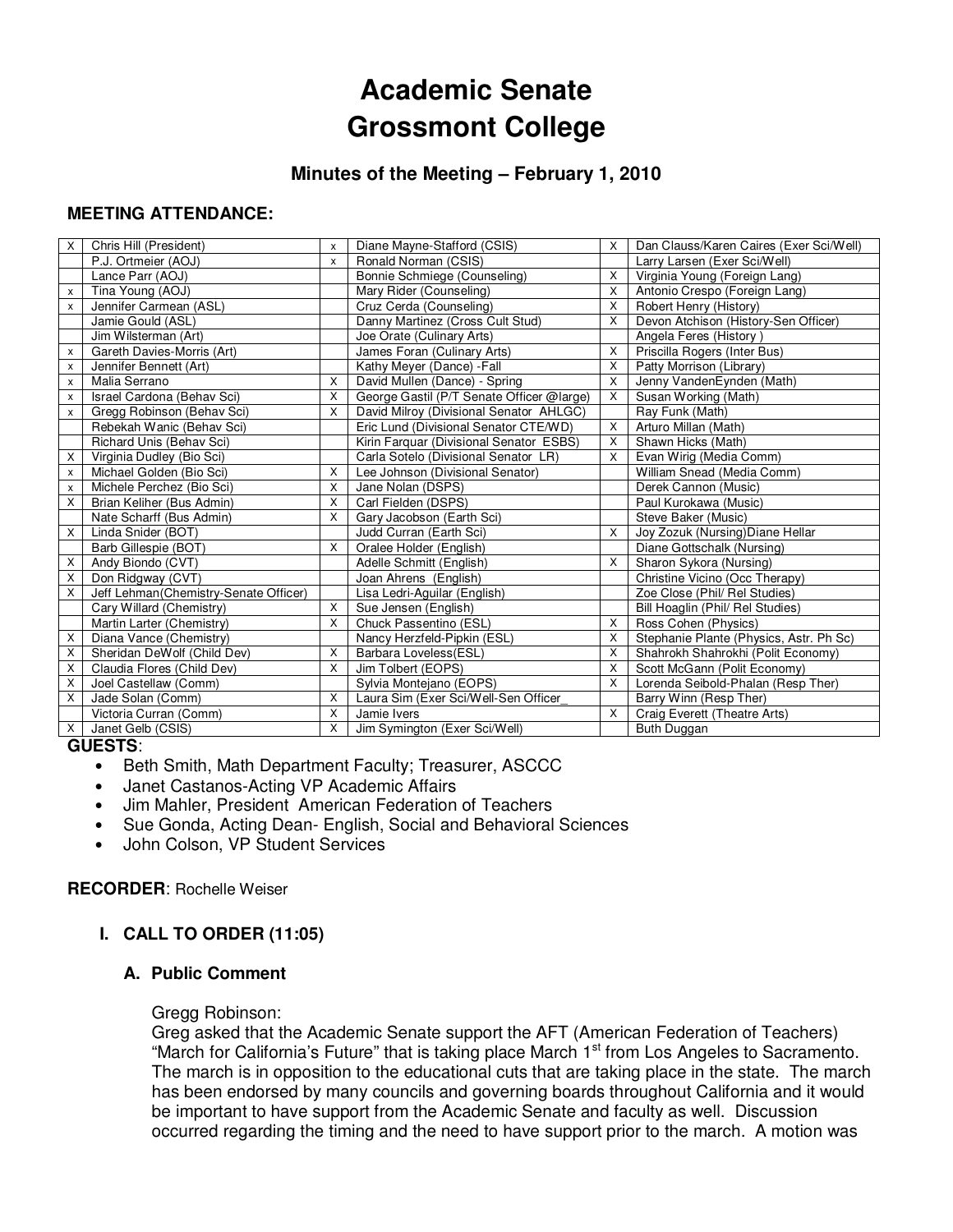# **Academic Senate Grossmont College**

# **Minutes of the Meeting – February 1, 2010**

## **MEETING ATTENDANCE:**

| X            | Chris Hill (President)                | X        | Diane Mayne-Stafford (CSIS)               | X        | Dan Clauss/Karen Caires (Exer Sci/Well) |
|--------------|---------------------------------------|----------|-------------------------------------------|----------|-----------------------------------------|
|              | P.J. Ortmeier (AOJ)                   | X        | Ronald Norman (CSIS)                      |          | Larry Larsen (Exer Sci/Well)            |
|              | Lance Parr (AOJ)                      |          | Bonnie Schmiege (Counseling)              | X        | Virginia Young (Foreign Lang)           |
| x            | Tina Young (AOJ)                      |          | Mary Rider (Counseling)                   | $\times$ | Antonio Crespo (Foreign Lang)           |
| $\mathsf{x}$ | Jennifer Carmean (ASL)                |          | Cruz Cerda (Counseling)                   | X        | Robert Henry (History)                  |
|              | Jamie Gould (ASL)                     |          | Danny Martinez (Cross Cult Stud)          | X        | Devon Atchison (History-Sen Officer)    |
|              | Jim Wilsterman (Art)                  |          | Joe Orate (Culinary Arts)                 |          | Angela Feres (History)                  |
| x            | Gareth Davies-Morris (Art)            |          | James Foran (Culinary Arts)               | X        | Priscilla Rogers (Inter Bus)            |
| x            | Jennifer Bennett (Art)                |          | Kathy Meyer (Dance) - Fall                | X        | Patty Morrison (Library)                |
| x            | Malia Serrano                         | X        | David Mullen (Dance) - Spring             | X        | Jenny VandenEynden (Math)               |
| x            | Israel Cardona (Behav Sci)            | X        | George Gastil (P/T Senate Officer @large) | X        | Susan Working (Math)                    |
| x            | Gregg Robinson (Behav Sci)            | $\times$ | David Milroy (Divisional Senator AHLGC)   |          | Ray Funk (Math)                         |
|              | Rebekah Wanic (Behav Sci)             |          | Eric Lund (Divisional Senator CTE/WD)     | X        | Arturo Millan (Math)                    |
|              | Richard Unis (Behav Sci)              |          | Kirin Farquar (Divisional Senator ESBS)   | X        | Shawn Hicks (Math)                      |
| X            | Virginia Dudley (Bio Sci)             |          | Carla Sotelo (Divisional Senator LR)      | Χ        | Evan Wirig (Media Comm)                 |
| x            | Michael Golden (Bio Sci)              | X        | Lee Johnson (Divisional Senator)          |          | William Snead (Media Comm)              |
| x            | Michele Perchez (Bio Sci)             | X        | Jane Nolan (DSPS)                         |          | Derek Cannon (Music)                    |
| X            | Brian Keliher (Bus Admin)             | X        | Carl Fielden (DSPS)                       |          | Paul Kurokawa (Music)                   |
|              | Nate Scharff (Bus Admin)              | X        | Gary Jacobson (Earth Sci)                 |          | Steve Baker (Music)                     |
| X            | Linda Snider (BOT)                    |          | Judd Curran (Earth Sci)                   | X        | Joy Zozuk (Nursing) Diane Hellar        |
|              | Barb Gillespie (BOT)                  | X        | Oralee Holder (English)                   |          | Diane Gottschalk (Nursing)              |
| X            | Andy Biondo (CVT)                     |          | Adelle Schmitt (English)                  | X        | Sharon Sykora (Nursing)                 |
| X            | Don Ridgway (CVT)                     |          | Joan Ahrens (English)                     |          | Christine Vicino (Occ Therapy)          |
| X            | Jeff Lehman(Chemistry-Senate Officer) |          | Lisa Ledri-Aguilar (English)              |          | Zoe Close (Phil/ Rel Studies)           |
|              | Cary Willard (Chemistry)              | X        | Sue Jensen (English)                      |          | Bill Hoaglin (Phil/ Rel Studies)        |
|              | Martin Larter (Chemistry)             | X        | Chuck Passentino (ESL)                    | $\times$ | Ross Cohen (Physics)                    |
| X            | Diana Vance (Chemistry)               |          | Nancy Herzfeld-Pipkin (ESL)               | $\times$ | Stephanie Plante (Physics, Astr. Ph Sc) |
| х            | Sheridan DeWolf (Child Dev)           | X        | Barbara Loveless(ESL)                     | $\times$ | Shahrokh Shahrokhi (Polit Economy)      |
| X            | Claudia Flores (Child Dev)            | X        | Jim Tolbert (EOPS)                        | X        | Scott McGann (Polit Economy)            |
| X            | Joel Castellaw (Comm)                 |          | Sylvia Montejano (EOPS)                   | X        | Lorenda Seibold-Phalan (Resp Ther)      |
| X            | Jade Solan (Comm)                     | X        | Laura Sim (Exer Sci/Well-Sen Officer      |          | Barry Winn (Resp Ther)                  |
|              | Victoria Curran (Comm)                | X        | Jamie Ivers                               | X        | Craig Everett (Theatre Arts)            |
| X            | Janet Gelb (CSIS)                     | X        | Jim Symington (Exer Sci/Well)             |          | Buth Duggan                             |

#### **GUESTS**:

- Beth Smith, Math Department Faculty; Treasurer, ASCCC
- Janet Castanos-Acting VP Academic Affairs
- Jim Mahler, President American Federation of Teachers
- Sue Gonda, Acting Dean- English, Social and Behavioral Sciences
- John Colson, VP Student Services

### **RECORDER**: Rochelle Weiser

# **I. CALL TO ORDER (11:05)**

### **A. Public Comment**

#### Gregg Robinson:

Greg asked that the Academic Senate support the AFT (American Federation of Teachers) "March for California's Future" that is taking place March 1<sup>st</sup> from Los Angeles to Sacramento. The march is in opposition to the educational cuts that are taking place in the state. The march has been endorsed by many councils and governing boards throughout California and it would be important to have support from the Academic Senate and faculty as well. Discussion occurred regarding the timing and the need to have support prior to the march. A motion was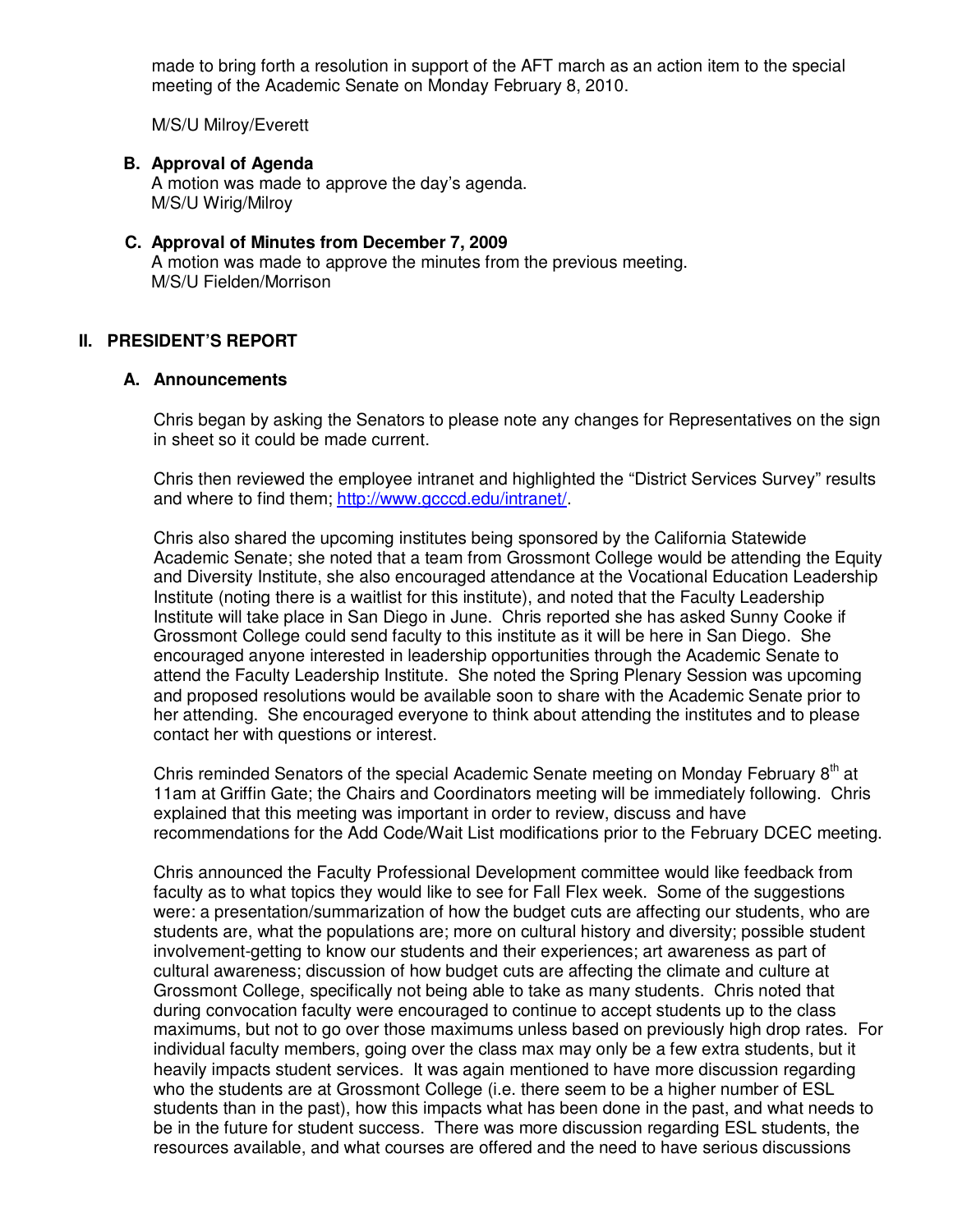made to bring forth a resolution in support of the AFT march as an action item to the special meeting of the Academic Senate on Monday February 8, 2010.

M/S/U Milroy/Everett

# **B. Approval of Agenda**

A motion was made to approve the day's agenda. M/S/U Wirig/Milroy

## **C. Approval of Minutes from December 7, 2009**

A motion was made to approve the minutes from the previous meeting. M/S/U Fielden/Morrison

### **II. PRESIDENT'S REPORT**

#### **A. Announcements**

Chris began by asking the Senators to please note any changes for Representatives on the sign in sheet so it could be made current.

Chris then reviewed the employee intranet and highlighted the "District Services Survey" results and where to find them; http://www.gcccd.edu/intranet/.

Chris also shared the upcoming institutes being sponsored by the California Statewide Academic Senate; she noted that a team from Grossmont College would be attending the Equity and Diversity Institute, she also encouraged attendance at the Vocational Education Leadership Institute (noting there is a waitlist for this institute), and noted that the Faculty Leadership Institute will take place in San Diego in June. Chris reported she has asked Sunny Cooke if Grossmont College could send faculty to this institute as it will be here in San Diego. She encouraged anyone interested in leadership opportunities through the Academic Senate to attend the Faculty Leadership Institute. She noted the Spring Plenary Session was upcoming and proposed resolutions would be available soon to share with the Academic Senate prior to her attending. She encouraged everyone to think about attending the institutes and to please contact her with questions or interest.

Chris reminded Senators of the special Academic Senate meeting on Monday February 8<sup>th</sup> at 11am at Griffin Gate; the Chairs and Coordinators meeting will be immediately following. Chris explained that this meeting was important in order to review, discuss and have recommendations for the Add Code/Wait List modifications prior to the February DCEC meeting.

Chris announced the Faculty Professional Development committee would like feedback from faculty as to what topics they would like to see for Fall Flex week. Some of the suggestions were: a presentation/summarization of how the budget cuts are affecting our students, who are students are, what the populations are; more on cultural history and diversity; possible student involvement-getting to know our students and their experiences; art awareness as part of cultural awareness; discussion of how budget cuts are affecting the climate and culture at Grossmont College, specifically not being able to take as many students. Chris noted that during convocation faculty were encouraged to continue to accept students up to the class maximums, but not to go over those maximums unless based on previously high drop rates. For individual faculty members, going over the class max may only be a few extra students, but it heavily impacts student services. It was again mentioned to have more discussion regarding who the students are at Grossmont College (i.e. there seem to be a higher number of ESL students than in the past), how this impacts what has been done in the past, and what needs to be in the future for student success. There was more discussion regarding ESL students, the resources available, and what courses are offered and the need to have serious discussions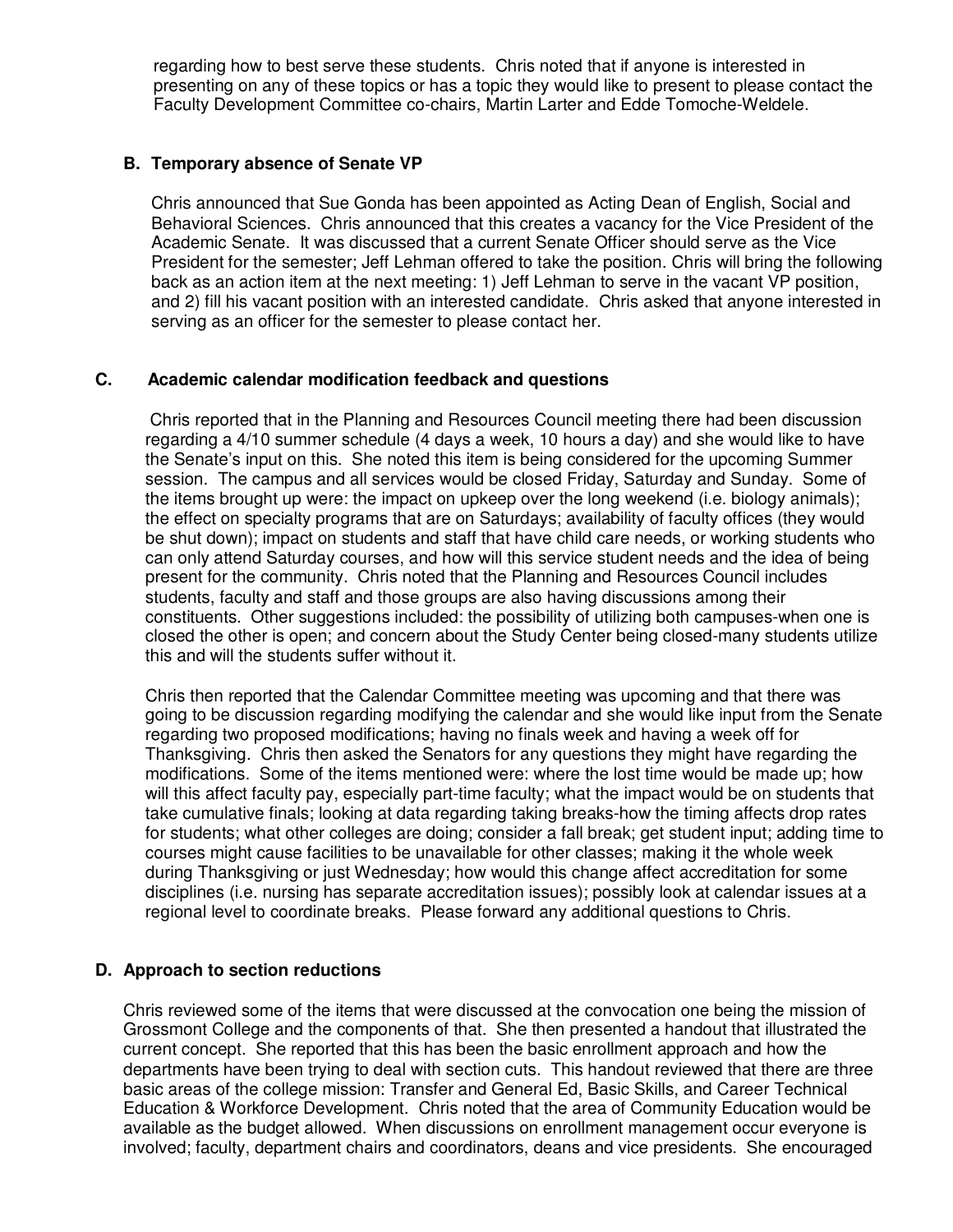regarding how to best serve these students. Chris noted that if anyone is interested in presenting on any of these topics or has a topic they would like to present to please contact the Faculty Development Committee co-chairs, Martin Larter and Edde Tomoche-Weldele.

### **B. Temporary absence of Senate VP**

Chris announced that Sue Gonda has been appointed as Acting Dean of English, Social and Behavioral Sciences. Chris announced that this creates a vacancy for the Vice President of the Academic Senate. It was discussed that a current Senate Officer should serve as the Vice President for the semester; Jeff Lehman offered to take the position. Chris will bring the following back as an action item at the next meeting: 1) Jeff Lehman to serve in the vacant VP position, and 2) fill his vacant position with an interested candidate. Chris asked that anyone interested in serving as an officer for the semester to please contact her.

### **C. Academic calendar modification feedback and questions**

 Chris reported that in the Planning and Resources Council meeting there had been discussion regarding a 4/10 summer schedule (4 days a week, 10 hours a day) and she would like to have the Senate's input on this. She noted this item is being considered for the upcoming Summer session. The campus and all services would be closed Friday, Saturday and Sunday. Some of the items brought up were: the impact on upkeep over the long weekend (i.e. biology animals); the effect on specialty programs that are on Saturdays; availability of faculty offices (they would be shut down); impact on students and staff that have child care needs, or working students who can only attend Saturday courses, and how will this service student needs and the idea of being present for the community. Chris noted that the Planning and Resources Council includes students, faculty and staff and those groups are also having discussions among their constituents. Other suggestions included: the possibility of utilizing both campuses-when one is closed the other is open; and concern about the Study Center being closed-many students utilize this and will the students suffer without it.

Chris then reported that the Calendar Committee meeting was upcoming and that there was going to be discussion regarding modifying the calendar and she would like input from the Senate regarding two proposed modifications; having no finals week and having a week off for Thanksgiving. Chris then asked the Senators for any questions they might have regarding the modifications. Some of the items mentioned were: where the lost time would be made up; how will this affect faculty pay, especially part-time faculty; what the impact would be on students that take cumulative finals; looking at data regarding taking breaks-how the timing affects drop rates for students; what other colleges are doing; consider a fall break; get student input; adding time to courses might cause facilities to be unavailable for other classes; making it the whole week during Thanksgiving or just Wednesday; how would this change affect accreditation for some disciplines (i.e. nursing has separate accreditation issues); possibly look at calendar issues at a regional level to coordinate breaks. Please forward any additional questions to Chris.

# **D. Approach to section reductions**

Chris reviewed some of the items that were discussed at the convocation one being the mission of Grossmont College and the components of that. She then presented a handout that illustrated the current concept. She reported that this has been the basic enrollment approach and how the departments have been trying to deal with section cuts. This handout reviewed that there are three basic areas of the college mission: Transfer and General Ed, Basic Skills, and Career Technical Education & Workforce Development. Chris noted that the area of Community Education would be available as the budget allowed. When discussions on enrollment management occur everyone is involved; faculty, department chairs and coordinators, deans and vice presidents. She encouraged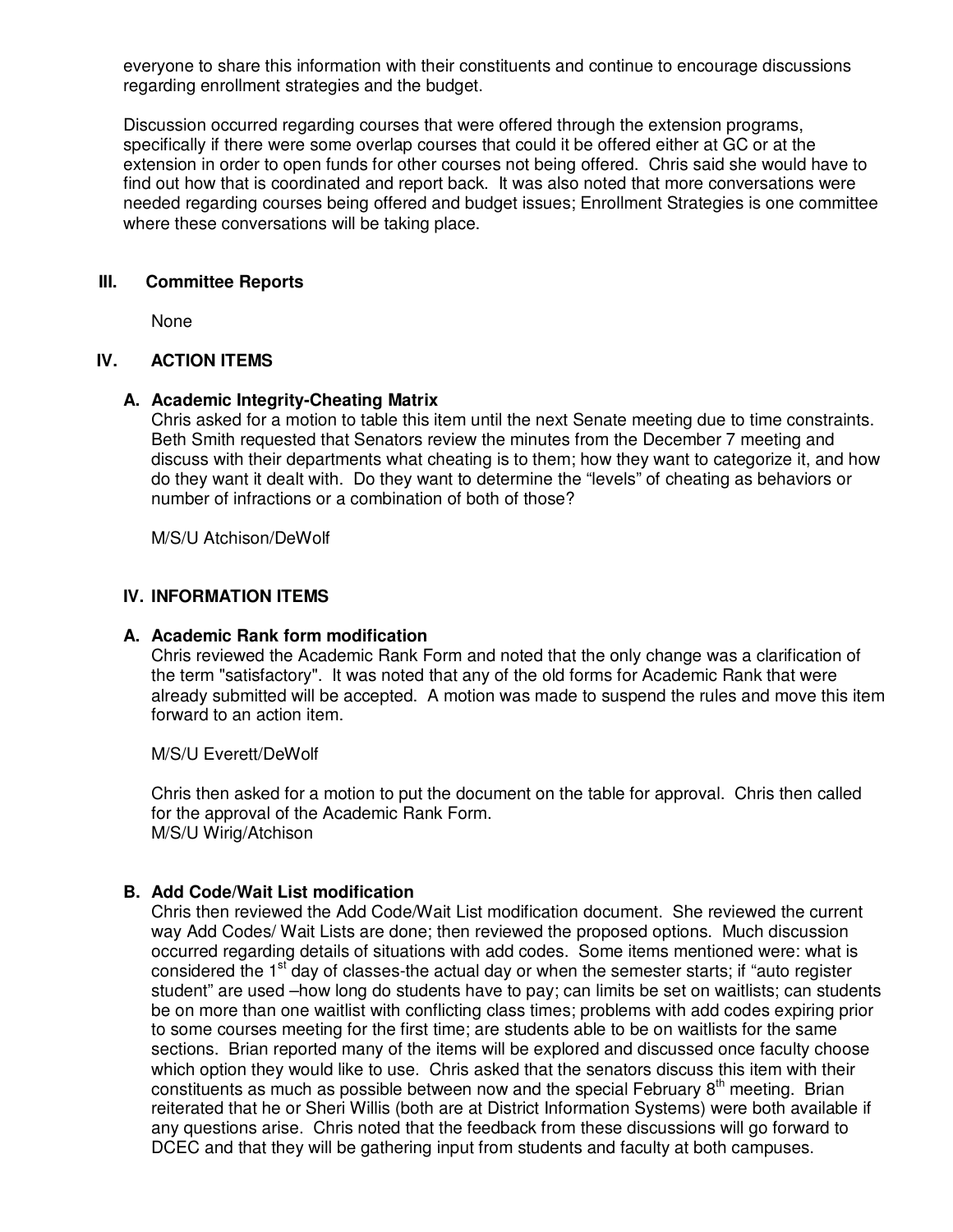everyone to share this information with their constituents and continue to encourage discussions regarding enrollment strategies and the budget.

Discussion occurred regarding courses that were offered through the extension programs, specifically if there were some overlap courses that could it be offered either at GC or at the extension in order to open funds for other courses not being offered. Chris said she would have to find out how that is coordinated and report back. It was also noted that more conversations were needed regarding courses being offered and budget issues; Enrollment Strategies is one committee where these conversations will be taking place.

## **III. Committee Reports**

None

## **IV. ACTION ITEMS**

### **A. Academic Integrity-Cheating Matrix**

Chris asked for a motion to table this item until the next Senate meeting due to time constraints. Beth Smith requested that Senators review the minutes from the December 7 meeting and discuss with their departments what cheating is to them; how they want to categorize it, and how do they want it dealt with. Do they want to determine the "levels" of cheating as behaviors or number of infractions or a combination of both of those?

M/S/U Atchison/DeWolf

### **IV. INFORMATION ITEMS**

### **A. Academic Rank form modification**

Chris reviewed the Academic Rank Form and noted that the only change was a clarification of the term "satisfactory". It was noted that any of the old forms for Academic Rank that were already submitted will be accepted. A motion was made to suspend the rules and move this item forward to an action item.

M/S/U Everett/DeWolf

Chris then asked for a motion to put the document on the table for approval. Chris then called for the approval of the Academic Rank Form. M/S/U Wirig/Atchison

### **B. Add Code/Wait List modification**

Chris then reviewed the Add Code/Wait List modification document. She reviewed the current way Add Codes/ Wait Lists are done; then reviewed the proposed options. Much discussion occurred regarding details of situations with add codes. Some items mentioned were: what is considered the 1<sup>st</sup> day of classes-the actual day or when the semester starts; if "auto register student" are used –how long do students have to pay; can limits be set on waitlists; can students be on more than one waitlist with conflicting class times; problems with add codes expiring prior to some courses meeting for the first time; are students able to be on waitlists for the same sections. Brian reported many of the items will be explored and discussed once faculty choose which option they would like to use. Chris asked that the senators discuss this item with their constituents as much as possible between now and the special February  $8<sup>th</sup>$  meeting. Brian reiterated that he or Sheri Willis (both are at District Information Systems) were both available if any questions arise. Chris noted that the feedback from these discussions will go forward to DCEC and that they will be gathering input from students and faculty at both campuses.